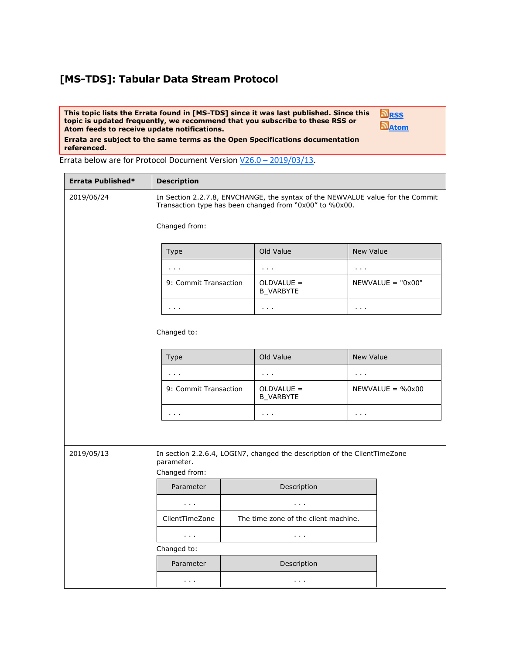## **[MS-TDS]: Tabular Data Stream Protocol**

**This topic lists the Errata found in [MS-TDS] since it was last published. Since this topic is updated frequently, we recommend that you subscribe to these RSS or Atom feeds to receive update notifications.**

**[RSS](http://blogs.msdn.com/b/protocol_content_errata/rss.aspx) [Atom](http://blogs.msdn.com/b/protocol_content_errata/atom.aspx)**

**Errata are subject to the same terms as the Open Specifications documentation referenced.**

Errata below are for Protocol Document Version V26.0 – [2019/03/13.](https://docs.microsoft.com/en-us/openspecs/windows_protocols/ms-tds/)

| Errata Published* | <b>Description</b>                                                                                                                        |                                    |  |                                      |                                |  |  |
|-------------------|-------------------------------------------------------------------------------------------------------------------------------------------|------------------------------------|--|--------------------------------------|--------------------------------|--|--|
| 2019/06/24        | In Section 2.2.7.8, ENVCHANGE, the syntax of the NEWVALUE value for the Commit<br>Transaction type has been changed from "0x00" to %0x00. |                                    |  |                                      |                                |  |  |
|                   |                                                                                                                                           | Changed from:                      |  |                                      |                                |  |  |
|                   |                                                                                                                                           | <b>Type</b>                        |  | Old Value                            | <b>New Value</b>               |  |  |
|                   |                                                                                                                                           | $\mathbf{r}=\mathbf{r}-\mathbf{r}$ |  | $\alpha \rightarrow 0$               | $\alpha$ , $\alpha$ , $\alpha$ |  |  |
|                   |                                                                                                                                           | 9: Commit Transaction              |  | OLDVALUE =<br><b>B_VARBYTE</b>       | $NEWVALUE = "0x00"$            |  |  |
|                   |                                                                                                                                           | $\sim 100$                         |  | $\sim 100$                           | $\alpha$ , $\alpha$ , $\alpha$ |  |  |
|                   | Changed to:                                                                                                                               |                                    |  |                                      |                                |  |  |
|                   |                                                                                                                                           | Type                               |  | Old Value                            | New Value                      |  |  |
|                   |                                                                                                                                           | $\sim 100$ km s $^{-1}$            |  | $\sim 100$                           | $\alpha$ , $\alpha$ , $\alpha$ |  |  |
|                   |                                                                                                                                           | 9: Commit Transaction              |  | OLDVALUE =<br><b>B_VARBYTE</b>       | $NEWVALUE = %0x00$             |  |  |
|                   |                                                                                                                                           | $\mathbf{z}=\mathbf{z}+\mathbf{z}$ |  | $\sim 1000$ $\mu$                    | $\sim 100$ km s $^{-1}$        |  |  |
|                   |                                                                                                                                           |                                    |  |                                      |                                |  |  |
| 2019/05/13        | In section 2.2.6.4, LOGIN7, changed the description of the ClientTimeZone<br>parameter.<br>Changed from:                                  |                                    |  |                                      |                                |  |  |
|                   |                                                                                                                                           | Parameter                          |  | Description                          |                                |  |  |
|                   |                                                                                                                                           | $\alpha$ , $\alpha$ , $\alpha$     |  | $\sim 100$                           |                                |  |  |
|                   |                                                                                                                                           | ClientTimeZone                     |  | The time zone of the client machine. |                                |  |  |
|                   |                                                                                                                                           | $\sim 100$                         |  | $\alpha$ , $\alpha$ , $\alpha$       |                                |  |  |
|                   | Changed to:                                                                                                                               |                                    |  |                                      |                                |  |  |
|                   |                                                                                                                                           | Parameter                          |  | Description                          |                                |  |  |
|                   |                                                                                                                                           | $\mathbf{r}=\mathbf{r}-\mathbf{r}$ |  | $\alpha$ , $\alpha$ , $\alpha$       |                                |  |  |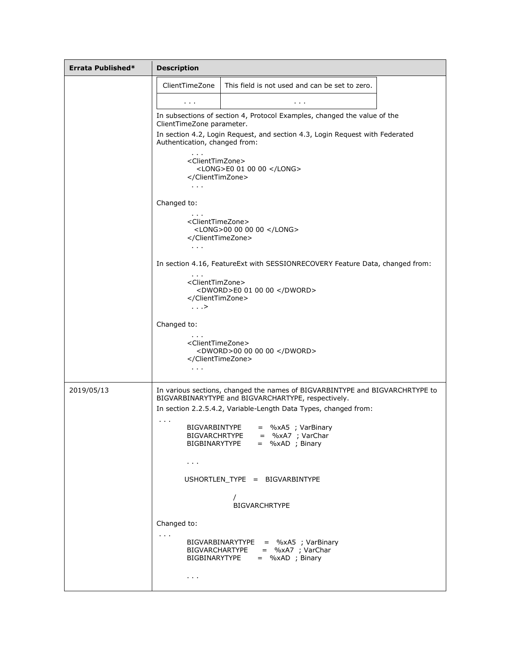| Errata Published* | <b>Description</b>                                                                                                                                                                                                                                                                                                                                          |                                                                                                                                    |  |  |  |
|-------------------|-------------------------------------------------------------------------------------------------------------------------------------------------------------------------------------------------------------------------------------------------------------------------------------------------------------------------------------------------------------|------------------------------------------------------------------------------------------------------------------------------------|--|--|--|
|                   | ClientTimeZone                                                                                                                                                                                                                                                                                                                                              | This field is not used and can be set to zero.                                                                                     |  |  |  |
|                   | $\sim$ 100 $\pm$                                                                                                                                                                                                                                                                                                                                            | $\mathbf{r}=\mathbf{r}+\mathbf{r}$                                                                                                 |  |  |  |
|                   | In subsections of section 4, Protocol Examples, changed the value of the<br>ClientTimeZone parameter.<br>In section 4.2, Login Request, and section 4.3, Login Request with Federated<br>Authentication, changed from:<br>$\alpha$ , $\alpha$ , $\alpha$<br><clienttimzone><br/><long>E0 01 00 00 </long><br/></clienttimzone><br>$\sim 100$<br>Changed to: |                                                                                                                                    |  |  |  |
|                   |                                                                                                                                                                                                                                                                                                                                                             |                                                                                                                                    |  |  |  |
|                   |                                                                                                                                                                                                                                                                                                                                                             |                                                                                                                                    |  |  |  |
|                   |                                                                                                                                                                                                                                                                                                                                                             |                                                                                                                                    |  |  |  |
|                   | <clienttimezone><br/><long>00 00 00 00 </long><br/></clienttimezone><br>$\sim 100$ km s $^{-1}$                                                                                                                                                                                                                                                             |                                                                                                                                    |  |  |  |
|                   | In section 4.16, FeatureExt with SESSIONRECOVERY Feature Data, changed from:<br><clienttimzone><br/><dword>E0 01 00 00 </dword><br/></clienttimzone><br>$\ldots$<br>Changed to:                                                                                                                                                                             |                                                                                                                                    |  |  |  |
|                   |                                                                                                                                                                                                                                                                                                                                                             |                                                                                                                                    |  |  |  |
|                   |                                                                                                                                                                                                                                                                                                                                                             |                                                                                                                                    |  |  |  |
|                   | <clienttimezone><br/></clienttimezone><br>$\mathbf{r}=\mathbf{r}+\mathbf{r}$                                                                                                                                                                                                                                                                                | <dword>00 00 00 00 </dword>                                                                                                        |  |  |  |
| 2019/05/13        |                                                                                                                                                                                                                                                                                                                                                             | In various sections, changed the names of BIGVARBINTYPE and BIGVARCHRTYPE to<br>BIGVARBINARYTYPE and BIGVARCHARTYPE, respectively. |  |  |  |
|                   |                                                                                                                                                                                                                                                                                                                                                             | In section 2.2.5.4.2, Variable-Length Data Types, changed from:                                                                    |  |  |  |
|                   | $\sim 1000$<br>BIGVARBINTYPE                                                                                                                                                                                                                                                                                                                                | = %xA5 ; VarBinary<br>BIGVARCHRTYPE = %xA7 ; VarChar<br>BIGBINARYTYPE = %xAD ; Binary                                              |  |  |  |
|                   | $\mathbf{r}=\mathbf{r}+\mathbf{r}$<br>USHORTLEN TYPE = BIGVARBINTYPE<br><b>BIGVARCHRTYPE</b>                                                                                                                                                                                                                                                                |                                                                                                                                    |  |  |  |
|                   |                                                                                                                                                                                                                                                                                                                                                             |                                                                                                                                    |  |  |  |
|                   |                                                                                                                                                                                                                                                                                                                                                             |                                                                                                                                    |  |  |  |
|                   | Changed to:                                                                                                                                                                                                                                                                                                                                                 |                                                                                                                                    |  |  |  |
|                   | $\sim 100$                                                                                                                                                                                                                                                                                                                                                  | BIGVARBINARYTYPE = %xA5 ; VarBinary<br>BIGVARCHARTYPE = %xA7 ; VarChar<br>BIGBINARYTYPE = %xAD ; Binary                            |  |  |  |
|                   | $\mathbf{r}=\mathbf{r}-\mathbf{r}$                                                                                                                                                                                                                                                                                                                          |                                                                                                                                    |  |  |  |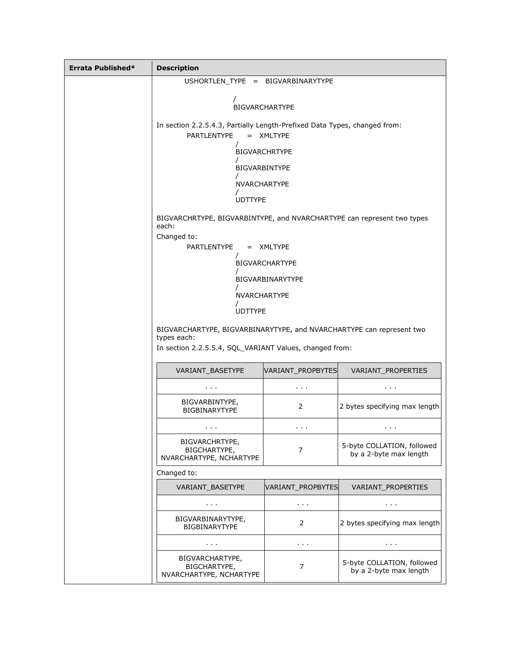| Errata Published* | <b>Description</b>                                                                                                                             |                                    |                                                      |  |  |  |
|-------------------|------------------------------------------------------------------------------------------------------------------------------------------------|------------------------------------|------------------------------------------------------|--|--|--|
|                   | USHORTLEN_TYPE = BIGVARBINARYTYPE                                                                                                              |                                    |                                                      |  |  |  |
|                   | <b>BIGVARCHARTYPE</b>                                                                                                                          |                                    |                                                      |  |  |  |
|                   | In section 2.2.5.4.3, Partially Length-Prefixed Data Types, changed from:                                                                      |                                    |                                                      |  |  |  |
|                   | PARTLENTYPE<br>= XMLTYPE                                                                                                                       |                                    |                                                      |  |  |  |
|                   | <b>BIGVARCHRTYPE</b>                                                                                                                           |                                    |                                                      |  |  |  |
|                   |                                                                                                                                                | <b>BIGVARBINTYPE</b>               |                                                      |  |  |  |
|                   | <b>NVARCHARTYPE</b>                                                                                                                            |                                    |                                                      |  |  |  |
|                   | <b>UDTTYPE</b>                                                                                                                                 |                                    |                                                      |  |  |  |
|                   | BIGVARCHRTYPE, BIGVARBINTYPE, and NVARCHARTYPE can represent two types<br>each:                                                                |                                    |                                                      |  |  |  |
|                   | Changed to:                                                                                                                                    |                                    |                                                      |  |  |  |
|                   | PARTLENTYPE<br>= XMLTYPE                                                                                                                       |                                    |                                                      |  |  |  |
|                   | <b>BIGVARCHARTYPE</b>                                                                                                                          |                                    |                                                      |  |  |  |
|                   | BIGVARBINARYTYPE                                                                                                                               |                                    |                                                      |  |  |  |
|                   | NVARCHARTYPE                                                                                                                                   |                                    |                                                      |  |  |  |
|                   | <b>UDTTYPE</b>                                                                                                                                 |                                    |                                                      |  |  |  |
|                   | BIGVARCHARTYPE, BIGVARBINARYTYPE, and NVARCHARTYPE can represent two<br>types each:<br>In section 2.2.5.5.4, SQL_VARIANT Values, changed from: |                                    |                                                      |  |  |  |
|                   | VARIANT BASETYPE                                                                                                                               | VARIANT_PROPBYTES                  | VARIANT_PROPERTIES                                   |  |  |  |
|                   |                                                                                                                                                |                                    |                                                      |  |  |  |
|                   | BIGVARBINTYPE,<br><b>BIGBINARYTYPE</b>                                                                                                         | 2                                  | 2 bytes specifying max length                        |  |  |  |
|                   | $\mathbf{r}=\mathbf{r}+\mathbf{r}$                                                                                                             | $\sim$ 10 $\pm$                    | $\mathbf{r}=\mathbf{r}+\mathbf{r}$                   |  |  |  |
|                   | <b>BIGVARCHRTYPE,</b><br>BIGCHARTYPE,<br>7<br>NVARCHARTYPE, NCHARTYPE                                                                          |                                    | 5-byte COLLATION, followed<br>by a 2-byte max length |  |  |  |
|                   | Changed to:                                                                                                                                    |                                    |                                                      |  |  |  |
|                   | VARIANT BASETYPE                                                                                                                               | VARIANT_PROPBYTES                  | VARIANT_PROPERTIES                                   |  |  |  |
|                   | $\mathbf{r}=\mathbf{r}+\mathbf{r}$                                                                                                             | $\mathbf{r}=\mathbf{r}+\mathbf{r}$ | $\sim$ 10 $\pm$                                      |  |  |  |
|                   | BIGVARBINARYTYPE,<br>BIGBINARYTYPE                                                                                                             | 2                                  | 2 bytes specifying max length                        |  |  |  |
|                   | $\sim 1000$                                                                                                                                    | $\mathbf{r}=\mathbf{r}+\mathbf{r}$ | $\mathbf{r}=\mathbf{r}+\mathbf{r}$                   |  |  |  |
|                   | BIGVARCHARTYPE,<br>BIGCHARTYPE,<br>NVARCHARTYPE, NCHARTYPE                                                                                     | 7                                  | 5-byte COLLATION, followed<br>by a 2-byte max length |  |  |  |